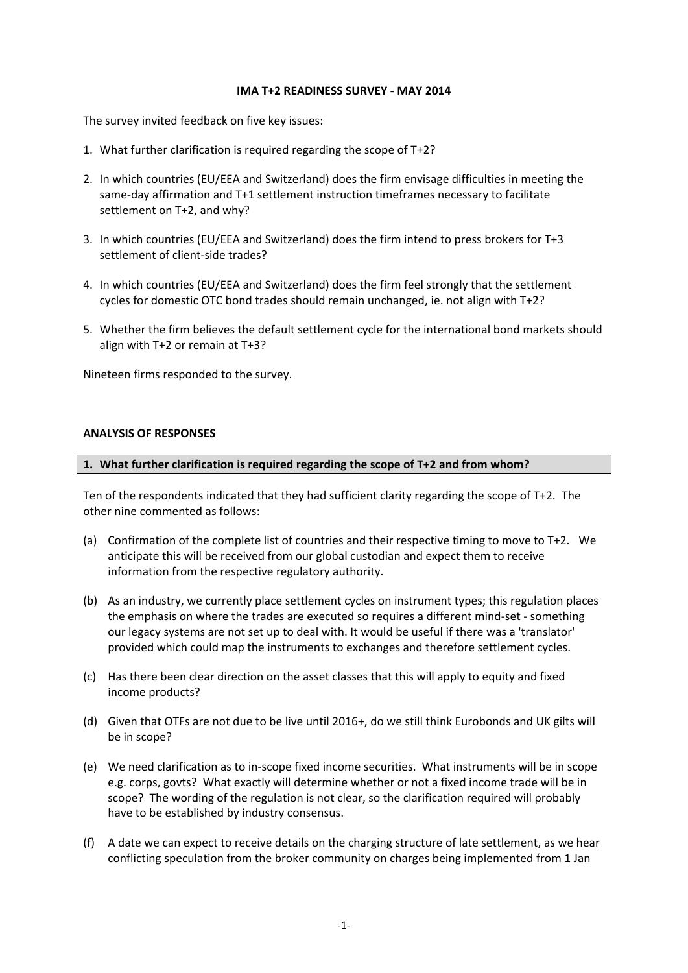#### **IMA T+2 READINESS SURVEY - MAY 2014**

The survey invited feedback on five key issues:

- 1. What further clarification is required regarding the scope of T+2?
- 2. In which countries (EU/EEA and Switzerland) does the firm envisage difficulties in meeting the same-day affirmation and T+1 settlement instruction timeframes necessary to facilitate settlement on T+2, and why?
- 3. In which countries (EU/EEA and Switzerland) does the firm intend to press brokers for T+3 settlement of client-side trades?
- 4. In which countries (EU/EEA and Switzerland) does the firm feel strongly that the settlement cycles for domestic OTC bond trades should remain unchanged, ie. not align with T+2?
- 5. Whether the firm believes the default settlement cycle for the international bond markets should align with T+2 or remain at T+3?

Nineteen firms responded to the survey.

## **ANALYSIS OF RESPONSES**

#### **1. What further clarification is required regarding the scope of T+2 and from whom?**

Ten of the respondents indicated that they had sufficient clarity regarding the scope of T+2. The other nine commented as follows:

- (a) Confirmation of the complete list of countries and their respective timing to move to T+2. We anticipate this will be received from our global custodian and expect them to receive information from the respective regulatory authority.
- (b) As an industry, we currently place settlement cycles on instrument types; this regulation places the emphasis on where the trades are executed so requires a different mind-set - something our legacy systems are not set up to deal with. It would be useful if there was a 'translator' provided which could map the instruments to exchanges and therefore settlement cycles.
- (c) Has there been clear direction on the asset classes that this will apply to equity and fixed income products?
- (d) Given that OTFs are not due to be live until 2016+, do we still think Eurobonds and UK gilts will be in scope?
- (e) We need clarification as to in-scope fixed income securities. What instruments will be in scope e.g. corps, govts? What exactly will determine whether or not a fixed income trade will be in scope? The wording of the regulation is not clear, so the clarification required will probably have to be established by industry consensus.
- (f) A date we can expect to receive details on the charging structure of late settlement, as we hear conflicting speculation from the broker community on charges being implemented from 1 Jan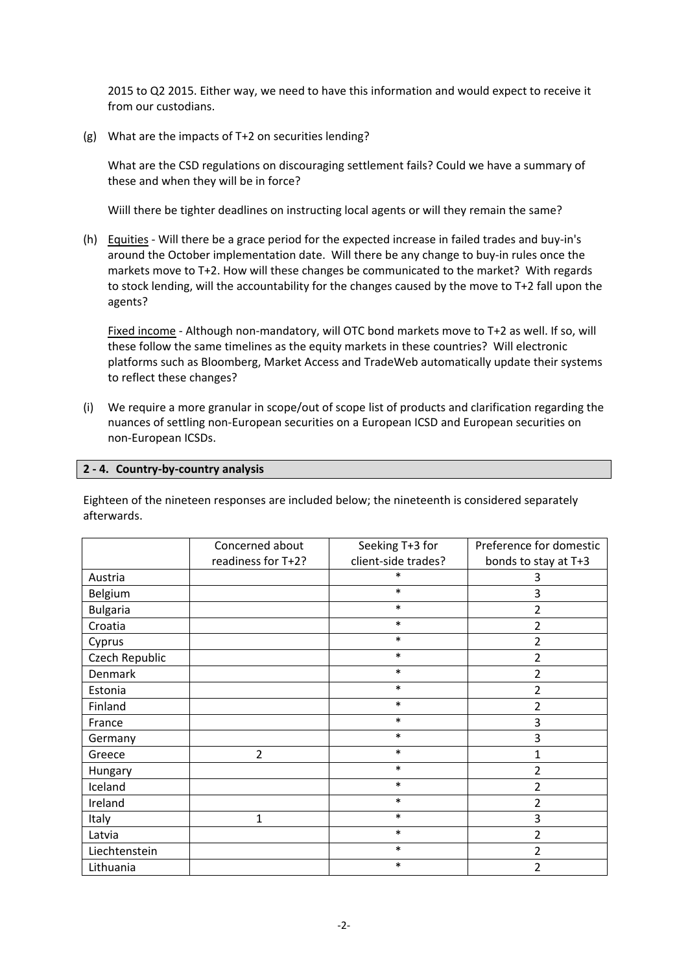2015 to Q2 2015. Either way, we need to have this information and would expect to receive it from our custodians.

(g) What are the impacts of T+2 on securities lending?

What are the CSD regulations on discouraging settlement fails? Could we have a summary of these and when they will be in force?

Wiill there be tighter deadlines on instructing local agents or will they remain the same?

(h) Equities - Will there be a grace period for the expected increase in failed trades and buy-in's around the October implementation date. Will there be any change to buy-in rules once the markets move to T+2. How will these changes be communicated to the market? With regards to stock lending, will the accountability for the changes caused by the move to T+2 fall upon the agents?

Fixed income - Although non-mandatory, will OTC bond markets move to T+2 as well. If so, will these follow the same timelines as the equity markets in these countries? Will electronic platforms such as Bloomberg, Market Access and TradeWeb automatically update their systems to reflect these changes?

(i) We require a more granular in scope/out of scope list of products and clarification regarding the nuances of settling non-European securities on a European ICSD and European securities on non-European ICSDs.

## **2 - 4. Country-by-country analysis**

Eighteen of the nineteen responses are included below; the nineteenth is considered separately afterwards.

|                 | Concerned about    | Seeking T+3 for     | Preference for domestic |
|-----------------|--------------------|---------------------|-------------------------|
|                 | readiness for T+2? | client-side trades? | bonds to stay at T+3    |
| Austria         |                    | *                   | 3                       |
| Belgium         |                    | $\ast$              | 3                       |
| <b>Bulgaria</b> |                    | $\ast$              | 2                       |
| Croatia         |                    | $\ast$              | 2                       |
| Cyprus          |                    | $\ast$              | $\overline{2}$          |
| Czech Republic  |                    | $\ast$              | 2                       |
| Denmark         |                    | $\ast$              | $\overline{2}$          |
| Estonia         |                    | $\ast$              | 2                       |
| Finland         |                    | $\ast$              | $\overline{2}$          |
| France          |                    | $\ast$              | 3                       |
| Germany         |                    | $\ast$              | 3                       |
| Greece          | $\overline{2}$     | $\ast$              | 1                       |
| Hungary         |                    | $\ast$              | 2                       |
| Iceland         |                    | $\ast$              | $\overline{2}$          |
| Ireland         |                    | $\ast$              | $\overline{2}$          |
| Italy           | $\mathbf{1}$       | $\ast$              | 3                       |
| Latvia          |                    | $\ast$              | 2                       |
| Liechtenstein   |                    | $\ast$              | $\overline{2}$          |
| Lithuania       |                    | $\ast$              | 2                       |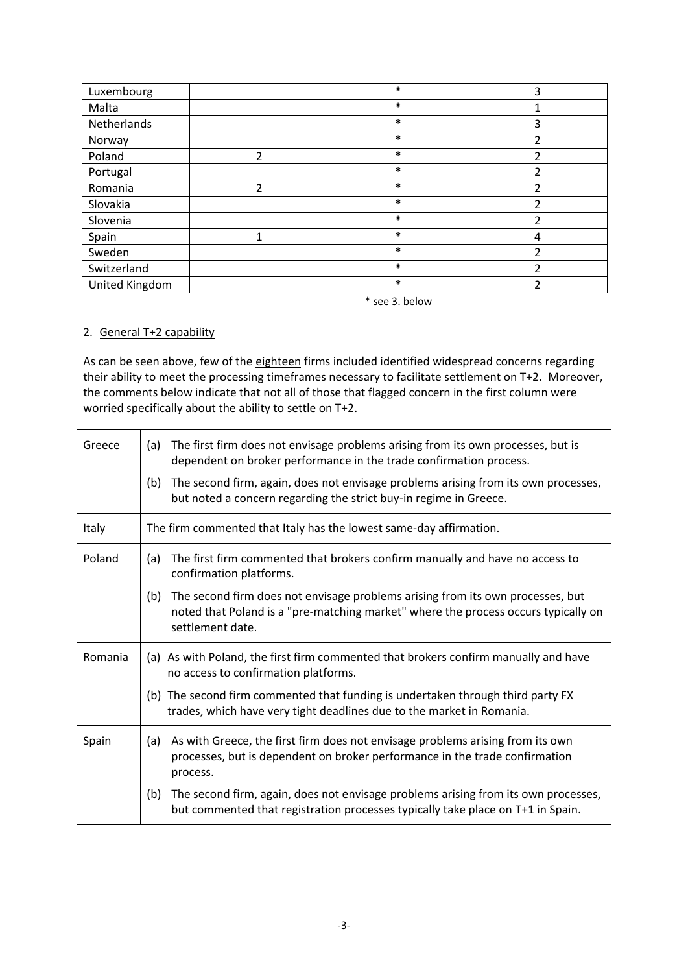| Luxembourg     |                | $\ast$ | 3  |
|----------------|----------------|--------|----|
| Malta          |                | $\ast$ |    |
| Netherlands    |                | $\ast$ | 3  |
| Norway         |                | $\ast$ |    |
| Poland         | $\overline{2}$ | $\ast$ | 2  |
| Portugal       |                | $\ast$ | າ  |
| Romania        | $\mathfrak{p}$ | $\ast$ | ົາ |
| Slovakia       |                | $\ast$ | 2  |
| Slovenia       |                | $\ast$ | 2  |
| Spain          |                | $\ast$ | 4  |
| Sweden         |                | $\ast$ | 2  |
| Switzerland    |                | $\ast$ | າ  |
| United Kingdom |                | $\ast$ | ົາ |

\* see 3. below

# 2. General T+2 capability

As can be seen above, few of the eighteen firms included identified widespread concerns regarding their ability to meet the processing timeframes necessary to facilitate settlement on T+2. Moreover, the comments below indicate that not all of those that flagged concern in the first column were worried specifically about the ability to settle on T+2.

| Greece  | The first firm does not envisage problems arising from its own processes, but is<br>(a)<br>dependent on broker performance in the trade confirmation process.<br>The second firm, again, does not envisage problems arising from its own processes,<br>(b)<br>but noted a concern regarding the strict buy-in regime in Greece. |
|---------|---------------------------------------------------------------------------------------------------------------------------------------------------------------------------------------------------------------------------------------------------------------------------------------------------------------------------------|
| Italy   | The firm commented that Italy has the lowest same-day affirmation.                                                                                                                                                                                                                                                              |
| Poland  | The first firm commented that brokers confirm manually and have no access to<br>(a)<br>confirmation platforms.                                                                                                                                                                                                                  |
|         | The second firm does not envisage problems arising from its own processes, but<br>(b)<br>noted that Poland is a "pre-matching market" where the process occurs typically on<br>settlement date.                                                                                                                                 |
| Romania | (a) As with Poland, the first firm commented that brokers confirm manually and have<br>no access to confirmation platforms.<br>(b) The second firm commented that funding is undertaken through third party FX<br>trades, which have very tight deadlines due to the market in Romania.                                         |
| Spain   | As with Greece, the first firm does not envisage problems arising from its own<br>(a)<br>processes, but is dependent on broker performance in the trade confirmation<br>process.                                                                                                                                                |
|         | The second firm, again, does not envisage problems arising from its own processes,<br>(b)<br>but commented that registration processes typically take place on T+1 in Spain.                                                                                                                                                    |